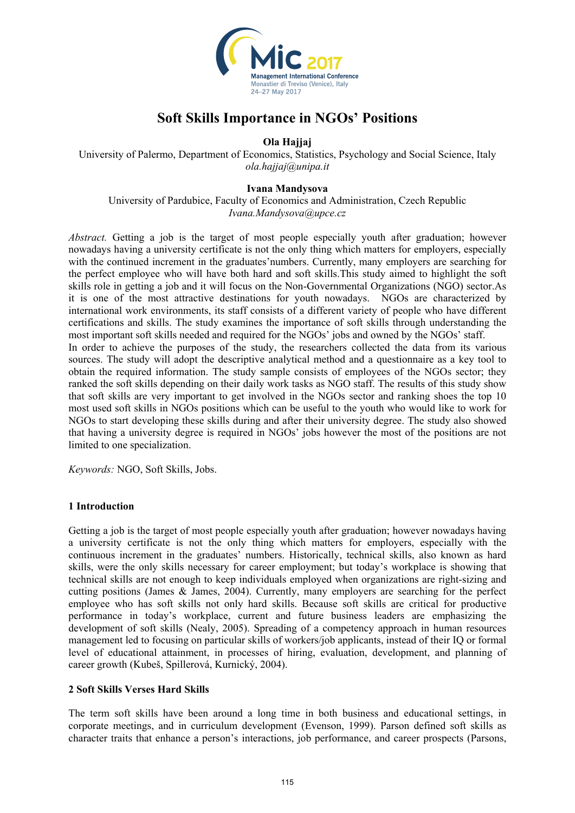

# **Soft Skills Importance in NGOs' Positions**

**Ola Hajjaj** 

University of Palermo, Department of Economics, Statistics, Psychology and Social Science, Italy *ola.hajjaj@unipa.it* 

#### **Ivana Mandysova**

University of Pardubice, Faculty of Economics and Administration, Czech Republic *Ivana.Mandysova@upce.cz*

*Abstract.* Getting a job is the target of most people especially youth after graduation; however nowadays having a university certificate is not the only thing which matters for employers, especially with the continued increment in the graduates'numbers. Currently, many employers are searching for the perfect employee who will have both hard and soft skills.This study aimed to highlight the soft skills role in getting a job and it will focus on the Non-Governmental Organizations (NGO) sector.As it is one of the most attractive destinations for youth nowadays. NGOs are characterized by international work environments, its staff consists of a different variety of people who have different certifications and skills. The study examines the importance of soft skills through understanding the most important soft skills needed and required for the NGOs' jobs and owned by the NGOs' staff. In order to achieve the purposes of the study, the researchers collected the data from its various sources. The study will adopt the descriptive analytical method and a questionnaire as a key tool to obtain the required information. The study sample consists of employees of the NGOs sector; they ranked the soft skills depending on their daily work tasks as NGO staff. The results of this study show that soft skills are very important to get involved in the NGOs sector and ranking shoes the top 10 most used soft skills in NGOs positions which can be useful to the youth who would like to work for NGOs to start developing these skills during and after their university degree. The study also showed that having a university degree is required in NGOs' jobs however the most of the positions are not limited to one specialization.

*Keywords:* NGO, Soft Skills, Jobs.

#### **1 Introduction**

Getting a job is the target of most people especially youth after graduation; however nowadays having a university certificate is not the only thing which matters for employers, especially with the continuous increment in the graduates' numbers. Historically, technical skills, also known as hard skills, were the only skills necessary for career employment; but today's workplace is showing that technical skills are not enough to keep individuals employed when organizations are right-sizing and cutting positions (James & James, 2004). Currently, many employers are searching for the perfect employee who has soft skills not only hard skills. Because soft skills are critical for productive performance in today's workplace, current and future business leaders are emphasizing the development of soft skills (Nealy, 2005). Spreading of a competency approach in human resources management led to focusing on particular skills of workers/job applicants, instead of their IQ or formal level of educational attainment, in processes of hiring, evaluation, development, and planning of career growth (Kubeš, Spillerová, Kurnický, 2004).

#### **2 Soft Skills Verses Hard Skills**

The term soft skills have been around a long time in both business and educational settings, in corporate meetings, and in curriculum development (Evenson, 1999). Parson defined soft skills as character traits that enhance a person's interactions, job performance, and career prospects (Parsons,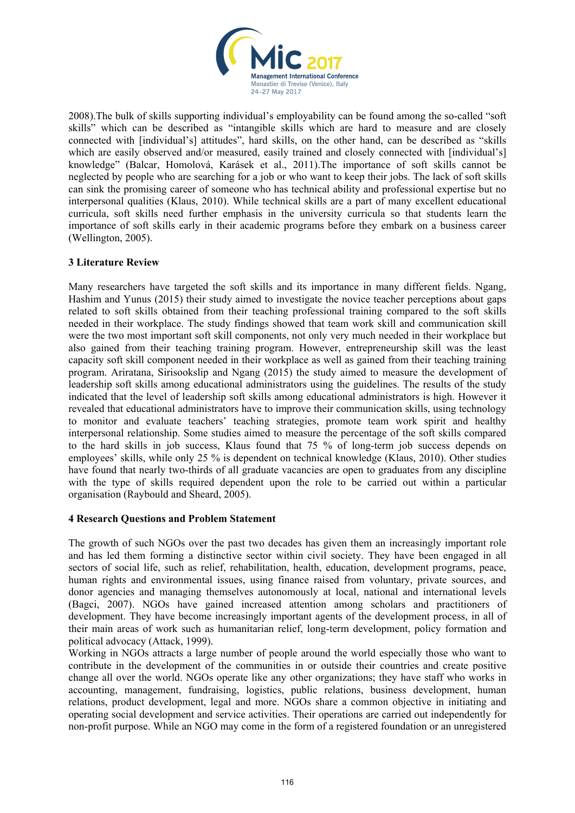

2008).The bulk of skills supporting individual's employability can be found among the so-called "soft skills" which can be described as "intangible skills which are hard to measure and are closely connected with [individual's] attitudes", hard skills, on the other hand, can be described as "skills which are easily observed and/or measured, easily trained and closely connected with [individual's] knowledge" (Balcar, Homolová, Karásek et al., 2011).The importance of soft skills cannot be neglected by people who are searching for a job or who want to keep their jobs. The lack of soft skills can sink the promising career of someone who has technical ability and professional expertise but no interpersonal qualities (Klaus, 2010). While technical skills are a part of many excellent educational curricula, soft skills need further emphasis in the university curricula so that students learn the importance of soft skills early in their academic programs before they embark on a business career (Wellington, 2005).

# **3 Literature Review**

Many researchers have targeted the soft skills and its importance in many different fields. Ngang, Hashim and Yunus (2015) their study aimed to investigate the novice teacher perceptions about gaps related to soft skills obtained from their teaching professional training compared to the soft skills needed in their workplace. The study findings showed that team work skill and communication skill were the two most important soft skill components, not only very much needed in their workplace but also gained from their teaching training program. However, entrepreneurship skill was the least capacity soft skill component needed in their workplace as well as gained from their teaching training program. Ariratana, Sirisookslip and Ngang (2015) the study aimed to measure the development of leadership soft skills among educational administrators using the guidelines. The results of the study indicated that the level of leadership soft skills among educational administrators is high. However it revealed that educational administrators have to improve their communication skills, using technology to monitor and evaluate teachers' teaching strategies, promote team work spirit and healthy interpersonal relationship. Some studies aimed to measure the percentage of the soft skills compared to the hard skills in job success, Klaus found that 75 % of long-term job success depends on employees' skills, while only 25 % is dependent on technical knowledge (Klaus, 2010). Other studies have found that nearly two-thirds of all graduate vacancies are open to graduates from any discipline with the type of skills required dependent upon the role to be carried out within a particular organisation (Raybould and Sheard, 2005).

#### **4 Research Questions and Problem Statement**

The growth of such NGOs over the past two decades has given them an increasingly important role and has led them forming a distinctive sector within civil society. They have been engaged in all sectors of social life, such as relief, rehabilitation, health, education, development programs, peace, human rights and environmental issues, using finance raised from voluntary, private sources, and donor agencies and managing themselves autonomously at local, national and international levels (Bagci, 2007). NGOs have gained increased attention among scholars and practitioners of development. They have become increasingly important agents of the development process, in all of their main areas of work such as humanitarian relief, long-term development, policy formation and political advocacy (Attack, 1999).

Working in NGOs attracts a large number of people around the world especially those who want to contribute in the development of the communities in or outside their countries and create positive change all over the world. NGOs operate like any other organizations; they have staff who works in accounting, management, fundraising, logistics, public relations, business development, human relations, product development, legal and more. NGOs share a common objective in initiating and operating social development and service activities. Their operations are carried out independently for non-profit purpose. While an NGO may come in the form of a registered foundation or an unregistered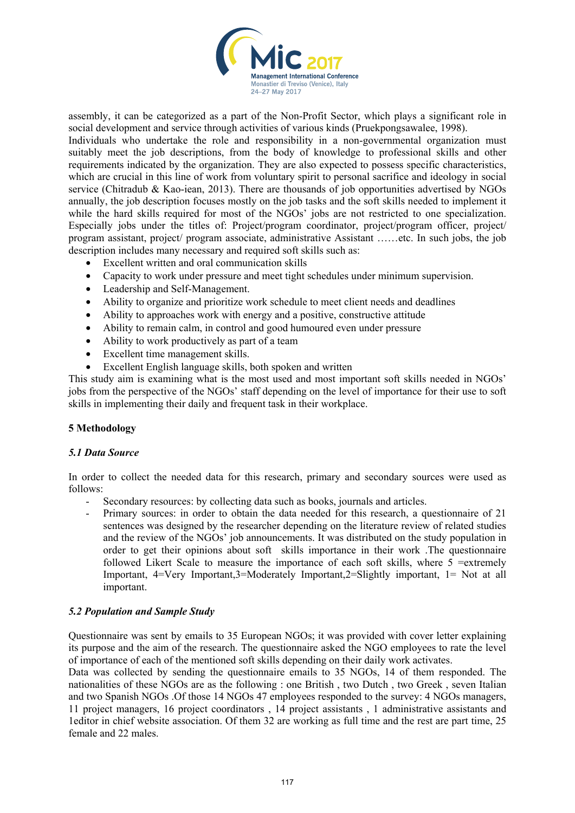

assembly, it can be categorized as a part of the Non-Profit Sector, which plays a significant role in social development and service through activities of various kinds (Pruekpongsawalee, 1998).

Individuals who undertake the role and responsibility in a non-governmental organization must suitably meet the job descriptions, from the body of knowledge to professional skills and other requirements indicated by the organization. They are also expected to possess specific characteristics, which are crucial in this line of work from voluntary spirit to personal sacrifice and ideology in social service (Chitradub & Kao-iean, 2013). There are thousands of job opportunities advertised by NGOs annually, the job description focuses mostly on the job tasks and the soft skills needed to implement it while the hard skills required for most of the NGOs' jobs are not restricted to one specialization. Especially jobs under the titles of: Project/program coordinator, project/program officer, project/ program assistant, project/ program associate, administrative Assistant ……etc. In such jobs, the job description includes many necessary and required soft skills such as:

- Excellent written and oral communication skills
- Capacity to work under pressure and meet tight schedules under minimum supervision.
- Leadership and Self-Management.
- Ability to organize and prioritize work schedule to meet client needs and deadlines
- Ability to approaches work with energy and a positive, constructive attitude
- Ability to remain calm, in control and good humoured even under pressure
- Ability to work productively as part of a team
- Excellent time management skills.
- Excellent English language skills, both spoken and written

This study aim is examining what is the most used and most important soft skills needed in NGOs' jobs from the perspective of the NGOs' staff depending on the level of importance for their use to soft skills in implementing their daily and frequent task in their workplace.

#### **5 Methodology**

#### *5.1 Data Source*

In order to collect the needed data for this research, primary and secondary sources were used as follows:

- Secondary resources: by collecting data such as books, journals and articles.
- Primary sources: in order to obtain the data needed for this research, a questionnaire of 21 sentences was designed by the researcher depending on the literature review of related studies and the review of the NGOs' job announcements. It was distributed on the study population in order to get their opinions about soft skills importance in their work .The questionnaire followed Likert Scale to measure the importance of each soft skills, where 5 =extremely Important, 4=Very Important,3=Moderately Important,2=Slightly important, 1= Not at all important.

#### *5.2 Population and Sample Study*

Questionnaire was sent by emails to 35 European NGOs; it was provided with cover letter explaining its purpose and the aim of the research. The questionnaire asked the NGO employees to rate the level of importance of each of the mentioned soft skills depending on their daily work activates.

Data was collected by sending the questionnaire emails to 35 NGOs, 14 of them responded. The nationalities of these NGOs are as the following : one British , two Dutch , two Greek , seven Italian and two Spanish NGOs .Of those 14 NGOs 47 employees responded to the survey: 4 NGOs managers, 11 project managers, 16 project coordinators , 14 project assistants , 1 administrative assistants and 1editor in chief website association. Of them 32 are working as full time and the rest are part time, 25 female and 22 males.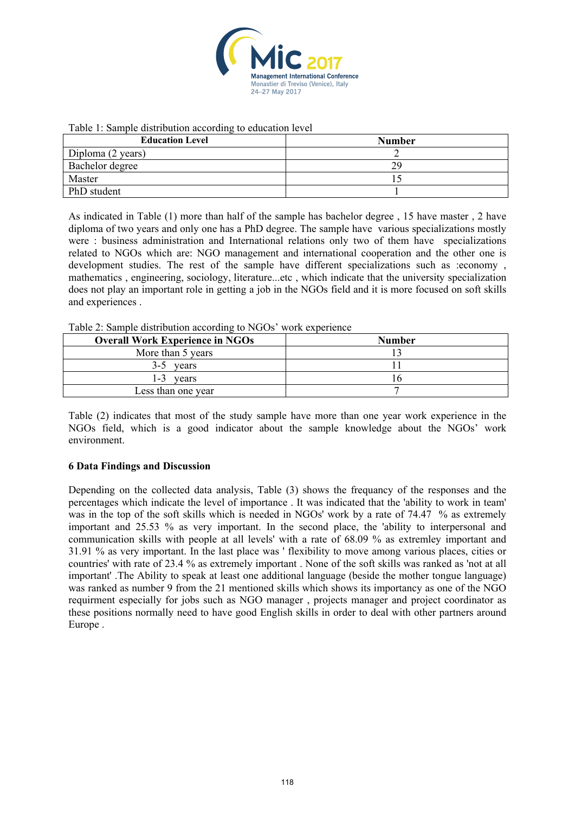

#### Table 1: Sample distribution according to education level

| <b>Education Level</b> | <b>Number</b> |
|------------------------|---------------|
| Diploma (2 years)      |               |
| Bachelor degree        | 29            |
| Master                 |               |
| PhD student            |               |

As indicated in Table (1) more than half of the sample has bachelor degree , 15 have master , 2 have diploma of two years and only one has a PhD degree. The sample have various specializations mostly were : business administration and International relations only two of them have specializations related to NGOs which are: NGO management and international cooperation and the other one is development studies. The rest of the sample have different specializations such as :economy , mathematics , engineering, sociology, literature...etc , which indicate that the university specialization does not play an important role in getting a job in the NGOs field and it is more focused on soft skills and experiences .

|         | <b>Overall Work Experience in NGOs</b> | <b>Number</b> |  |
|---------|----------------------------------------|---------------|--|
|         | More than 5 years                      |               |  |
| 3-5     | vears                                  |               |  |
| $1 - 3$ | vears                                  | n             |  |
|         | Less than one year                     |               |  |

Table (2) indicates that most of the study sample have more than one year work experience in the NGOs field, which is a good indicator about the sample knowledge about the NGOs' work environment.

#### **6 Data Findings and Discussion**

Depending on the collected data analysis, Table (3) shows the frequancy of the responses and the percentages which indicate the level of importance . It was indicated that the 'ability to work in team' was in the top of the soft skills which is needed in NGOs' work by a rate of 74.47 % as extremely important and 25.53 % as very important. In the second place, the 'ability to interpersonal and communication skills with people at all levels' with a rate of 68.09 % as extremley important and 31.91 % as very important. In the last place was ' flexibility to move among various places, cities or countries' with rate of 23.4 % as extremely important . None of the soft skills was ranked as 'not at all important' .The Ability to speak at least one additional language (beside the mother tongue language) was ranked as number 9 from the 21 mentioned skills which shows its importancy as one of the NGO requirment especially for jobs such as NGO manager , projects manager and project coordinator as these positions normally need to have good English skills in order to deal with other partners around Europe .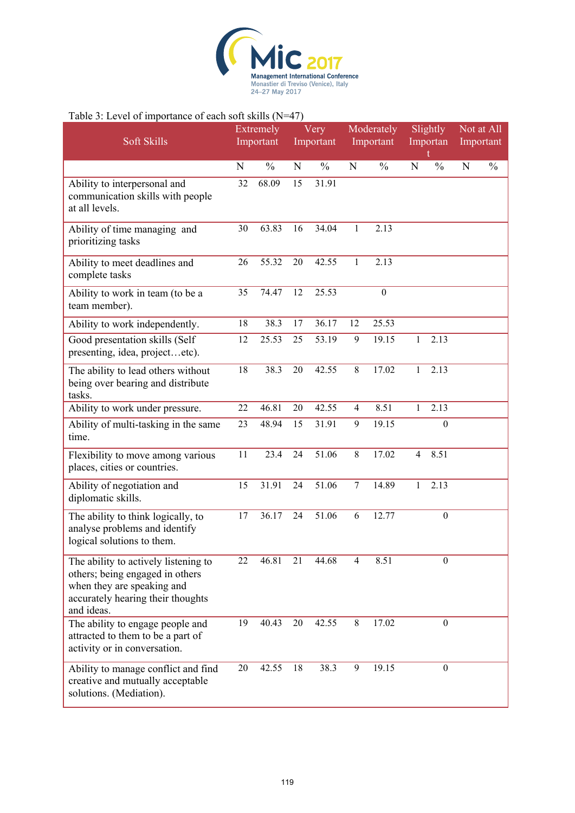

### Table 3: Level of importance of each soft skills (N=47)

| 3.2312121<br>Soft Skills                                                                                                                                 |    | Extremely<br>Important | Very<br>Important |               | Moderately<br>Important |                  | Slightly<br>Importan |                  | Not at All<br>Important |               |
|----------------------------------------------------------------------------------------------------------------------------------------------------------|----|------------------------|-------------------|---------------|-------------------------|------------------|----------------------|------------------|-------------------------|---------------|
|                                                                                                                                                          | N  | $\frac{0}{0}$          | N                 | $\frac{0}{0}$ | N                       | $\frac{0}{0}$    | N                    | $\frac{0}{0}$    | ${\bf N}$               | $\frac{0}{0}$ |
| Ability to interpersonal and<br>communication skills with people<br>at all levels.                                                                       | 32 | 68.09                  | 15                | 31.91         |                         |                  |                      |                  |                         |               |
| Ability of time managing and<br>prioritizing tasks                                                                                                       | 30 | 63.83                  | 16                | 34.04         | 1                       | 2.13             |                      |                  |                         |               |
| Ability to meet deadlines and<br>complete tasks                                                                                                          | 26 | 55.32                  | 20                | 42.55         | $\mathbf{1}$            | 2.13             |                      |                  |                         |               |
| Ability to work in team (to be a<br>team member).                                                                                                        | 35 | 74.47                  | 12                | 25.53         |                         | $\boldsymbol{0}$ |                      |                  |                         |               |
| Ability to work independently.                                                                                                                           | 18 | 38.3                   | 17                | 36.17         | 12                      | 25.53            |                      |                  |                         |               |
| Good presentation skills (Self<br>presenting, idea, projectetc).                                                                                         | 12 | 25.53                  | 25                | 53.19         | 9                       | 19.15            | 1                    | 2.13             |                         |               |
| The ability to lead others without<br>being over bearing and distribute<br>tasks.                                                                        | 18 | 38.3                   | 20                | 42.55         | 8                       | 17.02            | 1                    | 2.13             |                         |               |
| Ability to work under pressure.                                                                                                                          | 22 | 46.81                  | 20                | 42.55         | $\overline{4}$          | 8.51             | 1                    | 2.13             |                         |               |
| Ability of multi-tasking in the same<br>time.                                                                                                            | 23 | 48.94                  | 15                | 31.91         | 9                       | 19.15            |                      | $\boldsymbol{0}$ |                         |               |
| Flexibility to move among various<br>places, cities or countries.                                                                                        | 11 | 23.4                   | 24                | 51.06         | 8                       | 17.02            | $\overline{4}$       | 8.51             |                         |               |
| Ability of negotiation and<br>diplomatic skills.                                                                                                         | 15 | 31.91                  | 24                | 51.06         | $\tau$                  | 14.89            | 1                    | 2.13             |                         |               |
| The ability to think logically, to<br>analyse problems and identify<br>logical solutions to them.                                                        | 17 | 36.17                  | 24                | 51.06         | 6                       | 12.77            |                      | $\boldsymbol{0}$ |                         |               |
| The ability to actively listening to<br>others; being engaged in others<br>when they are speaking and<br>accurately hearing their thoughts<br>and ideas. | 22 | 46.81                  | 21                | 44.68         | 4                       | 8.51             |                      | $\boldsymbol{0}$ |                         |               |
| The ability to engage people and<br>attracted to them to be a part of<br>activity or in conversation.                                                    | 19 | 40.43                  | 20                | 42.55         | 8                       | 17.02            |                      | $\boldsymbol{0}$ |                         |               |
| Ability to manage conflict and find<br>creative and mutually acceptable<br>solutions. (Mediation).                                                       | 20 | 42.55                  | 18                | 38.3          | 9                       | 19.15            |                      | $\boldsymbol{0}$ |                         |               |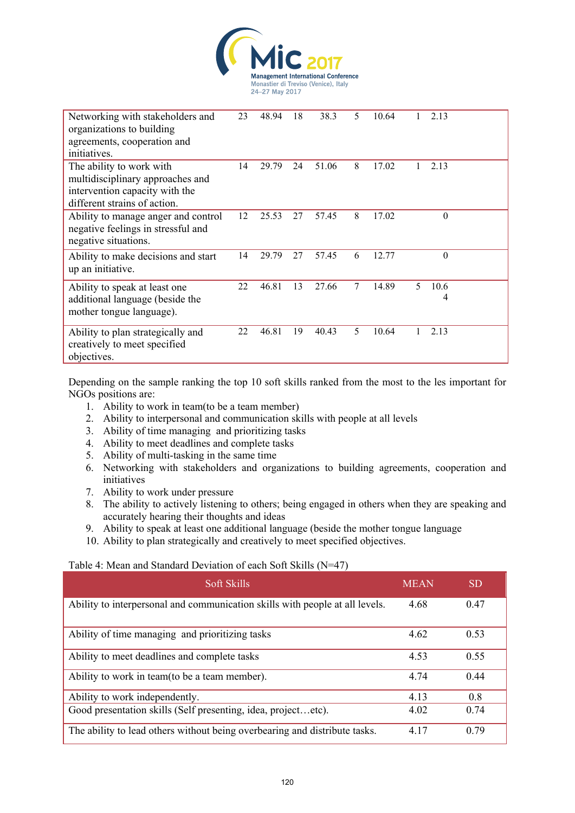

| Networking with stakeholders and<br>organizations to building<br>agreements, cooperation and<br>initiatives.                   | 23 | 48.94 | 18 | 38.3  | 5 | 10.64 |    | 2.13      |  |
|--------------------------------------------------------------------------------------------------------------------------------|----|-------|----|-------|---|-------|----|-----------|--|
| The ability to work with<br>multidisciplinary approaches and<br>intervention capacity with the<br>different strains of action. | 14 | 29.79 | 24 | 51.06 | 8 | 17.02 |    | 2.13      |  |
| Ability to manage anger and control<br>negative feelings in stressful and<br>negative situations.                              | 12 | 25.53 | 27 | 57.45 | 8 | 17.02 |    | $\theta$  |  |
| Ability to make decisions and start<br>up an initiative.                                                                       | 14 | 29.79 | 27 | 57.45 | 6 | 12.77 |    | $\theta$  |  |
| Ability to speak at least one<br>additional language (beside the<br>mother tongue language).                                   | 22 | 46.81 | 13 | 27.66 | 7 | 14.89 | 5. | 10.6<br>4 |  |
| Ability to plan strategically and<br>creatively to meet specified<br>objectives.                                               | 22 | 46.81 | 19 | 40.43 | 5 | 10.64 |    | 2.13      |  |

Depending on the sample ranking the top 10 soft skills ranked from the most to the les important for NGOs positions are:

- 1. Ability to work in team(to be a team member)
- 2. Ability to interpersonal and communication skills with people at all levels
- 3. Ability of time managing and prioritizing tasks
- 4. Ability to meet deadlines and complete tasks
- 5. Ability of multi-tasking in the same time
- 6. Networking with stakeholders and organizations to building agreements, cooperation and initiatives
- 7. Ability to work under pressure
- 8. The ability to actively listening to others; being engaged in others when they are speaking and accurately hearing their thoughts and ideas
- 9. Ability to speak at least one additional language (beside the mother tongue language
- 10. Ability to plan strategically and creatively to meet specified objectives.

# Table 4: Mean and Standard Deviation of each Soft Skills (N=47)

| Soft Skills                                                                  | <b>MEAN</b> | <b>SD</b> |
|------------------------------------------------------------------------------|-------------|-----------|
| Ability to interpersonal and communication skills with people at all levels. | 4.68        | 0.47      |
| Ability of time managing and prioritizing tasks                              | 4.62        | 0.53      |
| Ability to meet deadlines and complete tasks                                 | 4.53        | 0.55      |
| Ability to work in team (to be a team member).                               | 4 74        | 0.44      |
| Ability to work independently.                                               | 4.13        | 0.8       |
| Good presentation skills (Self presenting, idea, projectetc).                | 4.02        | 0.74      |
| The ability to lead others without being overbearing and distribute tasks.   | 4 1 7       | 0.79      |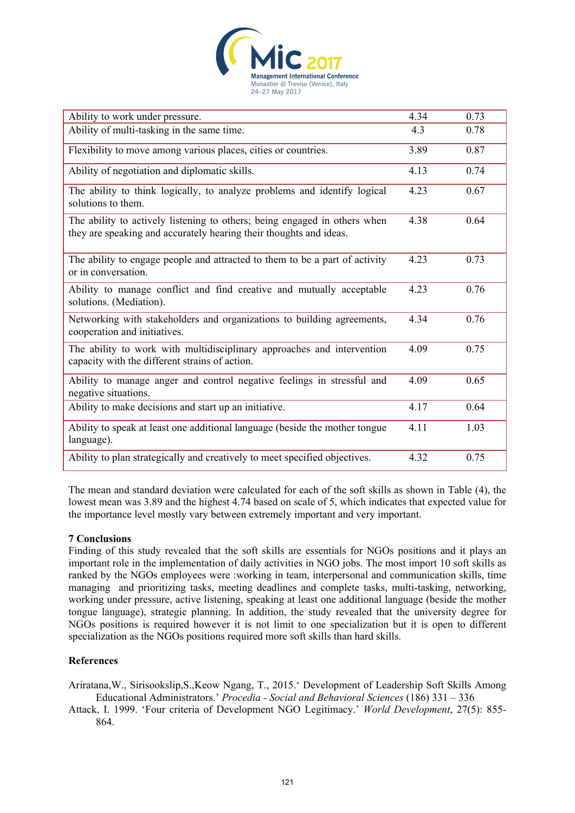

| Ability to work under pressure.                                                                                                                 | 4.34 | 0.73 |
|-------------------------------------------------------------------------------------------------------------------------------------------------|------|------|
| Ability of multi-tasking in the same time.                                                                                                      | 4.3  | 0.78 |
| Flexibility to move among various places, cities or countries.                                                                                  | 3.89 | 0.87 |
| Ability of negotiation and diplomatic skills.                                                                                                   | 4.13 | 0.74 |
| The ability to think logically, to analyze problems and identify logical<br>solutions to them.                                                  | 4.23 | 0.67 |
| The ability to actively listening to others; being engaged in others when<br>they are speaking and accurately hearing their thoughts and ideas. | 4.38 | 0.64 |
| The ability to engage people and attracted to them to be a part of activity<br>or in conversation.                                              | 4.23 | 0.73 |
| Ability to manage conflict and find creative and mutually acceptable<br>solutions. (Mediation).                                                 | 4.23 | 0.76 |
| Networking with stakeholders and organizations to building agreements,<br>cooperation and initiatives.                                          | 4.34 | 0.76 |
| The ability to work with multidisciplinary approaches and intervention<br>capacity with the different strains of action.                        | 4.09 | 0.75 |
| Ability to manage anger and control negative feelings in stressful and<br>negative situations.                                                  | 4.09 | 0.65 |
| Ability to make decisions and start up an initiative.                                                                                           | 4.17 | 0.64 |
| Ability to speak at least one additional language (beside the mother tongue<br>language).                                                       | 4.11 | 1.03 |
| Ability to plan strategically and creatively to meet specified objectives.                                                                      | 4.32 | 0.75 |

The mean and standard deviation were calculated for each of the soft skills as shown in Table (4), the lowest mean was 3.89 and the highest 4.74 based on scale of 5, which indicates that expected value for the importance level mostly vary between extremely important and very important.

#### **7 Conclusions**

Finding of this study revealed that the soft skills are essentials for NGOs positions and it plays an important role in the implementation of daily activities in NGO jobs. The most import 10 soft skills as ranked by the NGOs employees were :working in team, interpersonal and communication skills, time managing and prioritizing tasks, meeting deadlines and complete tasks, multi-tasking, networking, working under pressure, active listening, speaking at least one additional language (beside the mother tongue language), strategic planning. In addition, the study revealed that the university degree for NGOs positions is required however it is not limit to one specialization but it is open to different specialization as the NGOs positions required more soft skills than hard skills.

# **References**

Ariratana,W., Sirisookslip,S.,Keow Ngang, T., 2015.' Development of Leadership Soft Skills Among Educational Administrators.' *Procedia - Social and Behavioral Sciences* (186) 331 – 336

Attack, I. 1999. 'Four criteria of Development NGO Legitimacy.' *World Development*, 27(5): 855- 864.